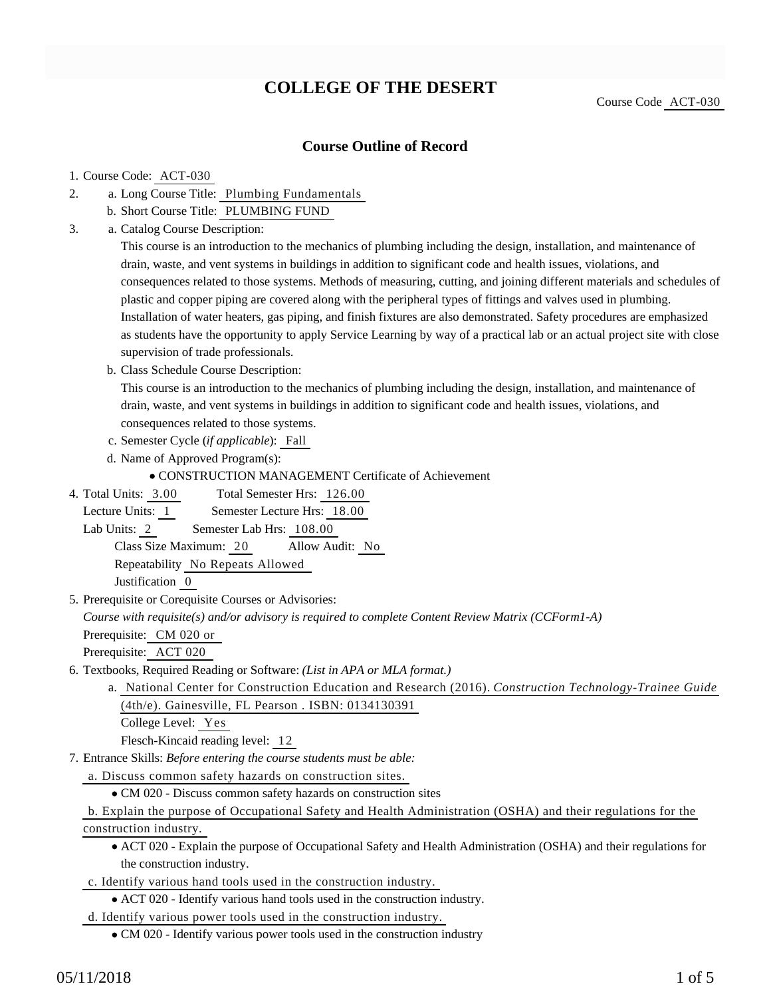# **COLLEGE OF THE DESERT**

Course Code ACT-030

### **Course Outline of Record**

#### 1. Course Code: ACT-030

- a. Long Course Title: Plumbing Fundamentals 2.
	- b. Short Course Title: PLUMBING FUND
- Catalog Course Description: a. 3.

This course is an introduction to the mechanics of plumbing including the design, installation, and maintenance of drain, waste, and vent systems in buildings in addition to significant code and health issues, violations, and consequences related to those systems. Methods of measuring, cutting, and joining different materials and schedules of plastic and copper piping are covered along with the peripheral types of fittings and valves used in plumbing. Installation of water heaters, gas piping, and finish fixtures are also demonstrated. Safety procedures are emphasized as students have the opportunity to apply Service Learning by way of a practical lab or an actual project site with close supervision of trade professionals.

b. Class Schedule Course Description:

This course is an introduction to the mechanics of plumbing including the design, installation, and maintenance of drain, waste, and vent systems in buildings in addition to significant code and health issues, violations, and consequences related to those systems.

- c. Semester Cycle (*if applicable*): Fall
- d. Name of Approved Program(s):

CONSTRUCTION MANAGEMENT Certificate of Achievement

Total Semester Hrs: 126.00 4. Total Units: 3.00

Lecture Units: 1 Semester Lecture Hrs: 18.00

Lab Units: 2 Semester Lab Hrs: 108.00

Class Size Maximum: 20 Allow Audit: No

Repeatability No Repeats Allowed

Justification 0

5. Prerequisite or Corequisite Courses or Advisories:

*Course with requisite(s) and/or advisory is required to complete Content Review Matrix (CCForm1-A)*

Prerequisite: CM 020 or

Prerequisite: ACT 020

6. Textbooks, Required Reading or Software: (List in APA or MLA format.)

a. National Center for Construction Education and Research (2016). *Construction Technology-Trainee Guide* (4th/e). Gainesville, FL Pearson . ISBN: 0134130391

College Level: Yes

Flesch-Kincaid reading level: 12

Entrance Skills: *Before entering the course students must be able:* 7.

a. Discuss common safety hazards on construction sites.

CM 020 - Discuss common safety hazards on construction sites

b. Explain the purpose of Occupational Safety and Health Administration (OSHA) and their regulations for the construction industry.

- ACT 020 Explain the purpose of Occupational Safety and Health Administration (OSHA) and their regulations for the construction industry.
- c. Identify various hand tools used in the construction industry.
	- ACT 020 Identify various hand tools used in the construction industry.

d. Identify various power tools used in the construction industry.

CM 020 - Identify various power tools used in the construction industry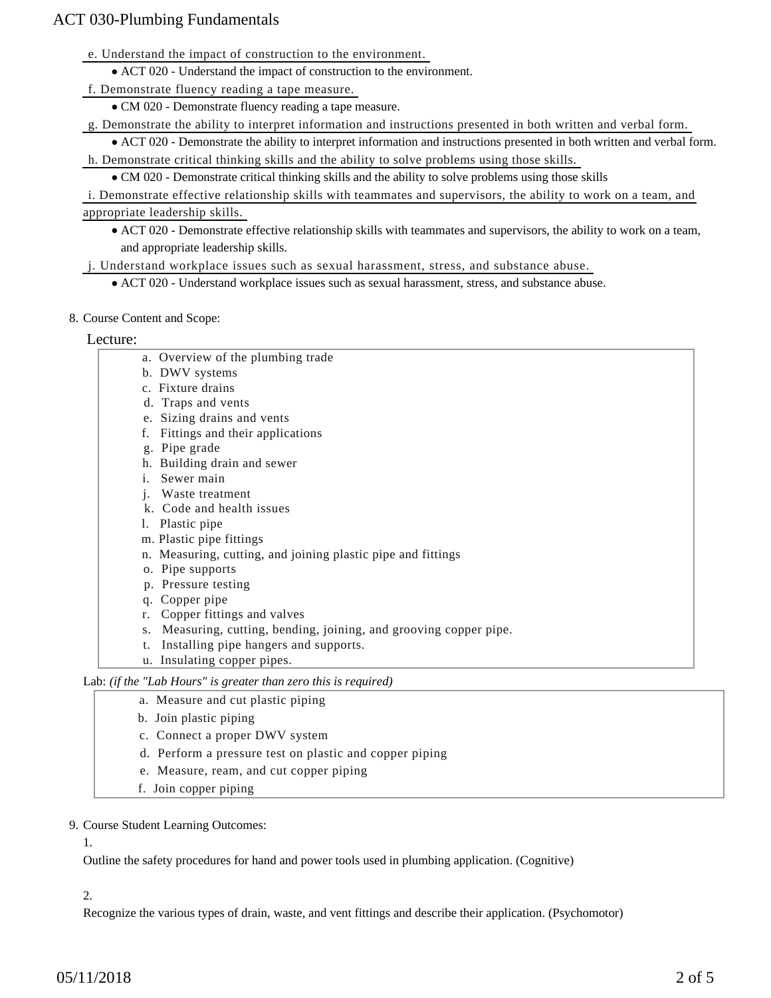e. Understand the impact of construction to the environment.

ACT 020 - Understand the impact of construction to the environment.

f. Demonstrate fluency reading a tape measure.

CM 020 - Demonstrate fluency reading a tape measure.

g. Demonstrate the ability to interpret information and instructions presented in both written and verbal form.

ACT 020 - Demonstrate the ability to interpret information and instructions presented in both written and verbal form. h. Demonstrate critical thinking skills and the ability to solve problems using those skills.

CM 020 - Demonstrate critical thinking skills and the ability to solve problems using those skills

i. Demonstrate effective relationship skills with teammates and supervisors, the ability to work on a team, and appropriate leadership skills.

ACT 020 - Demonstrate effective relationship skills with teammates and supervisors, the ability to work on a team, and appropriate leadership skills.

j. Understand workplace issues such as sexual harassment, stress, and substance abuse.

- ACT 020 Understand workplace issues such as sexual harassment, stress, and substance abuse.
- 8. Course Content and Scope:

#### Lecture:

- a. Overview of the plumbing trade
- b. DWV systems
- c. Fixture drains
- d. Traps and vents
- e. Sizing drains and vents
- f. Fittings and their applications
- g. Pipe grade
- h. Building drain and sewer
- i. Sewer main
- j. Waste treatment
- k. Code and health issues
- l. Plastic pipe
- m. Plastic pipe fittings
- n. Measuring, cutting, and joining plastic pipe and fittings
- o. Pipe supports
- p. Pressure testing
- q. Copper pipe
- r. Copper fittings and valves
- s. Measuring, cutting, bending, joining, and grooving copper pipe.
- t. Installing pipe hangers and supports.
- u. Insulating copper pipes.

Lab: *(if the "Lab Hours" is greater than zero this is required)*

- a. Measure and cut plastic piping
- b. Join plastic piping
- c. Connect a proper DWV system
- d. Perform a pressure test on plastic and copper piping
- e. Measure, ream, and cut copper piping
- f. Join copper piping
- 9. Course Student Learning Outcomes:

1.

Outline the safety procedures for hand and power tools used in plumbing application. (Cognitive)

2.

Recognize the various types of drain, waste, and vent fittings and describe their application. (Psychomotor)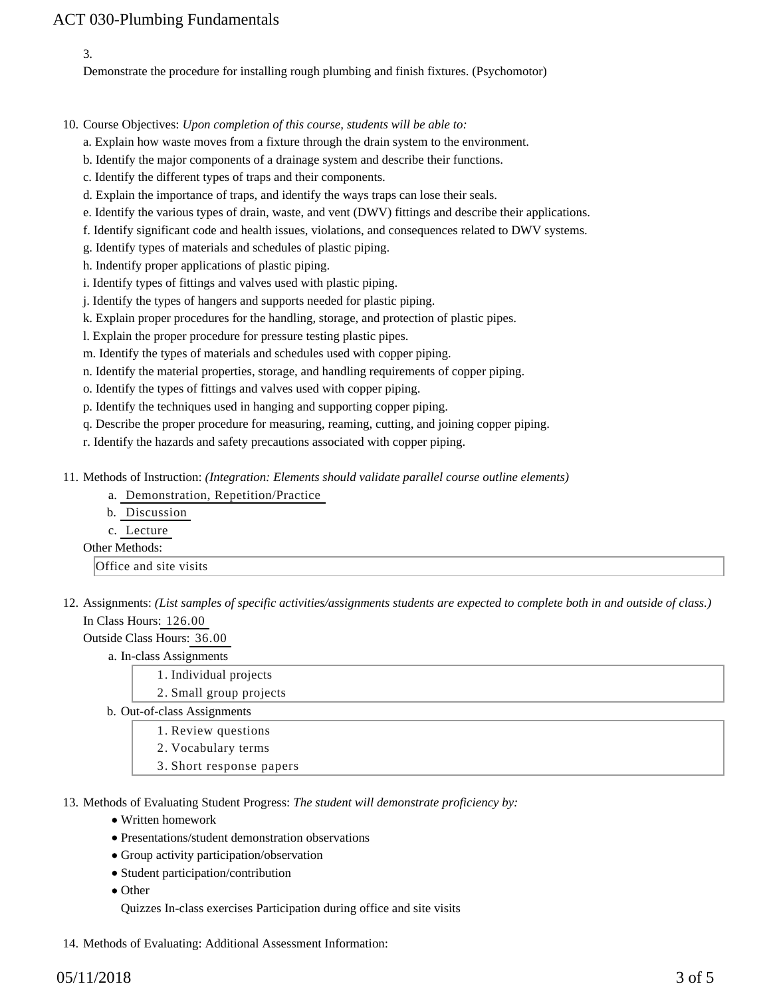3.

Demonstrate the procedure for installing rough plumbing and finish fixtures. (Psychomotor)

10. Course Objectives: Upon completion of this course, students will be able to:

a. Explain how waste moves from a fixture through the drain system to the environment.

b. Identify the major components of a drainage system and describe their functions.

c. Identify the different types of traps and their components.

d. Explain the importance of traps, and identify the ways traps can lose their seals.

e. Identify the various types of drain, waste, and vent (DWV) fittings and describe their applications.

f. Identify significant code and health issues, violations, and consequences related to DWV systems.

g. Identify types of materials and schedules of plastic piping.

h. Indentify proper applications of plastic piping.

i. Identify types of fittings and valves used with plastic piping.

j. Identify the types of hangers and supports needed for plastic piping.

k. Explain proper procedures for the handling, storage, and protection of plastic pipes.

l. Explain the proper procedure for pressure testing plastic pipes.

m. Identify the types of materials and schedules used with copper piping.

n. Identify the material properties, storage, and handling requirements of copper piping.

o. Identify the types of fittings and valves used with copper piping.

p. Identify the techniques used in hanging and supporting copper piping.

q. Describe the proper procedure for measuring, reaming, cutting, and joining copper piping.

r. Identify the hazards and safety precautions associated with copper piping.

11. Methods of Instruction: *(Integration: Elements should validate parallel course outline elements)* 

a. Demonstration, Repetition/Practice

| b. Discussion |
|---------------|
| c. Lecture    |

## Other Methods:

Office and site visits

12. Assignments: (List samples of specific activities/assignments students are expected to complete both in and outside of class.) In Class Hours: 126.00

Outside Class Hours: 36.00

#### a. In-class Assignments

- 1. Individual projects
- 2. Small group projects

b. Out-of-class Assignments

1. Review questions

- 2. Vocabulary terms
- 3. Short response papers

13. Methods of Evaluating Student Progress: The student will demonstrate proficiency by:

- Written homework
- Presentations/student demonstration observations
- Group activity participation/observation
- Student participation/contribution
- Other

Quizzes In-class exercises Participation during office and site visits

14. Methods of Evaluating: Additional Assessment Information: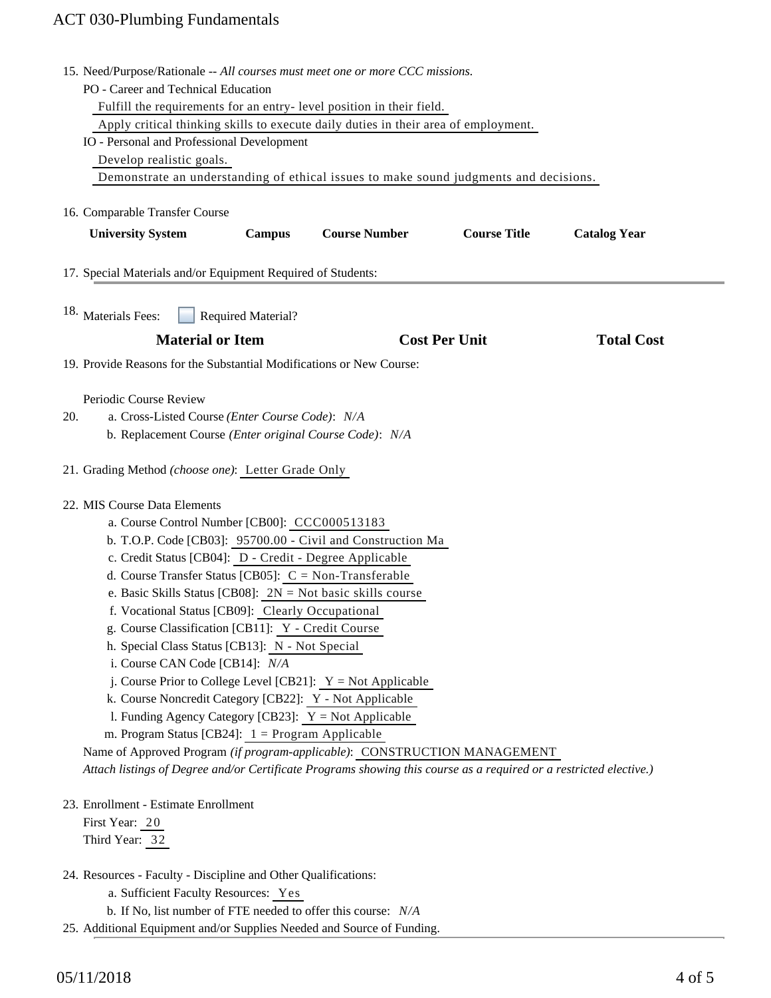|     | 15. Need/Purpose/Rationale -- All courses must meet one or more CCC missions.                                      |  |  |
|-----|--------------------------------------------------------------------------------------------------------------------|--|--|
|     | PO - Career and Technical Education                                                                                |  |  |
|     | Fulfill the requirements for an entry-level position in their field.                                               |  |  |
|     | Apply critical thinking skills to execute daily duties in their area of employment.                                |  |  |
|     | IO - Personal and Professional Development                                                                         |  |  |
|     | Develop realistic goals.                                                                                           |  |  |
|     | Demonstrate an understanding of ethical issues to make sound judgments and decisions.                              |  |  |
|     |                                                                                                                    |  |  |
|     | 16. Comparable Transfer Course                                                                                     |  |  |
|     | <b>Course Number</b><br><b>Course Title</b><br><b>University System</b><br><b>Campus</b><br><b>Catalog Year</b>    |  |  |
|     |                                                                                                                    |  |  |
|     |                                                                                                                    |  |  |
|     | 17. Special Materials and/or Equipment Required of Students:                                                       |  |  |
|     |                                                                                                                    |  |  |
|     | 18. Materials Fees:<br><b>Required Material?</b>                                                                   |  |  |
|     | <b>Material or Item</b><br><b>Cost Per Unit</b><br><b>Total Cost</b>                                               |  |  |
|     |                                                                                                                    |  |  |
|     | 19. Provide Reasons for the Substantial Modifications or New Course:                                               |  |  |
|     |                                                                                                                    |  |  |
|     | Periodic Course Review                                                                                             |  |  |
| 20. | a. Cross-Listed Course (Enter Course Code): N/A                                                                    |  |  |
|     | b. Replacement Course (Enter original Course Code): N/A                                                            |  |  |
|     |                                                                                                                    |  |  |
|     | 21. Grading Method (choose one): Letter Grade Only                                                                 |  |  |
|     |                                                                                                                    |  |  |
|     | 22. MIS Course Data Elements                                                                                       |  |  |
|     | a. Course Control Number [CB00]: CCC000513183<br>b. T.O.P. Code [CB03]: 95700.00 - Civil and Construction Ma       |  |  |
|     |                                                                                                                    |  |  |
|     | c. Credit Status [CB04]: D - Credit - Degree Applicable                                                            |  |  |
|     | d. Course Transfer Status [CB05]: $C = Non-Transferable$                                                           |  |  |
|     | e. Basic Skills Status [CB08]: $2N = Not basic skills course$                                                      |  |  |
|     | f. Vocational Status [CB09]: Clearly Occupational                                                                  |  |  |
|     | g. Course Classification [CB11]: Y - Credit Course                                                                 |  |  |
|     | h. Special Class Status [CB13]: N - Not Special                                                                    |  |  |
|     | i. Course CAN Code [CB14]: N/A                                                                                     |  |  |
|     | j. Course Prior to College Level [CB21]: $Y = Not Applied$                                                         |  |  |
|     | k. Course Noncredit Category [CB22]: Y - Not Applicable                                                            |  |  |
|     | 1. Funding Agency Category [CB23]: $Y = Not$ Applicable                                                            |  |  |
|     | m. Program Status [CB24]: $1 =$ Program Applicable                                                                 |  |  |
|     | Name of Approved Program (if program-applicable): CONSTRUCTION MANAGEMENT                                          |  |  |
|     | Attach listings of Degree and/or Certificate Programs showing this course as a required or a restricted elective.) |  |  |
|     |                                                                                                                    |  |  |
|     | 23. Enrollment - Estimate Enrollment                                                                               |  |  |
|     | First Year: 20                                                                                                     |  |  |
|     | Third Year: 32                                                                                                     |  |  |
|     |                                                                                                                    |  |  |
|     | 24. Resources - Faculty - Discipline and Other Qualifications:                                                     |  |  |
|     | a. Sufficient Faculty Resources: Yes                                                                               |  |  |
|     | b. If No, list number of FTE needed to offer this course: N/A                                                      |  |  |

25. Additional Equipment and/or Supplies Needed and Source of Funding.